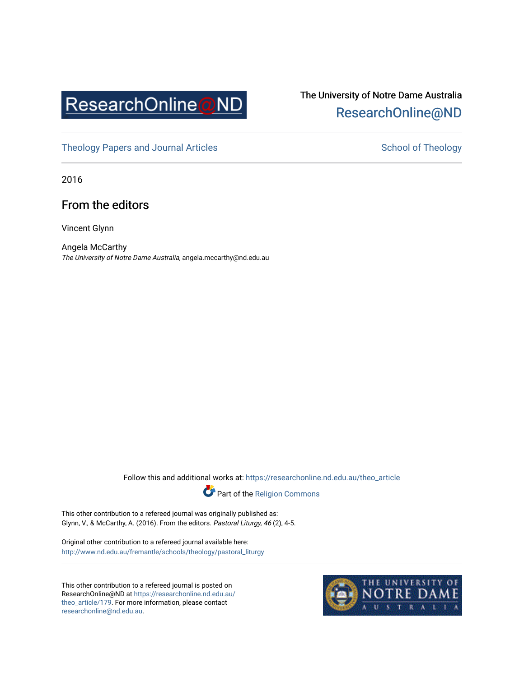

# The University of Notre Dame Australia [ResearchOnline@ND](https://researchonline.nd.edu.au/)

[Theology Papers and Journal Articles](https://researchonline.nd.edu.au/theo_article) and [School of Theology](https://researchonline.nd.edu.au/theo) School of Theology

2016

# From the editors

Vincent Glynn

Angela McCarthy The University of Notre Dame Australia, angela.mccarthy@nd.edu.au

Follow this and additional works at: [https://researchonline.nd.edu.au/theo\\_article](https://researchonline.nd.edu.au/theo_article?utm_source=researchonline.nd.edu.au%2Ftheo_article%2F179&utm_medium=PDF&utm_campaign=PDFCoverPages) 



This other contribution to a refereed journal was originally published as: Glynn, V., & McCarthy, A. (2016). From the editors. Pastoral Liturgy, 46 (2), 4-5.

Original other contribution to a refereed journal available here: [http://www.nd.edu.au/fremantle/schools/theology/pastoral\\_liturgy](http://www.nd.edu.au/fremantle/schools/theology/pastoral_liturgy) 

This other contribution to a refereed journal is posted on ResearchOnline@ND at [https://researchonline.nd.edu.au/](https://researchonline.nd.edu.au/theo_article/179) [theo\\_article/179](https://researchonline.nd.edu.au/theo_article/179). For more information, please contact [researchonline@nd.edu.au.](mailto:researchonline@nd.edu.au)

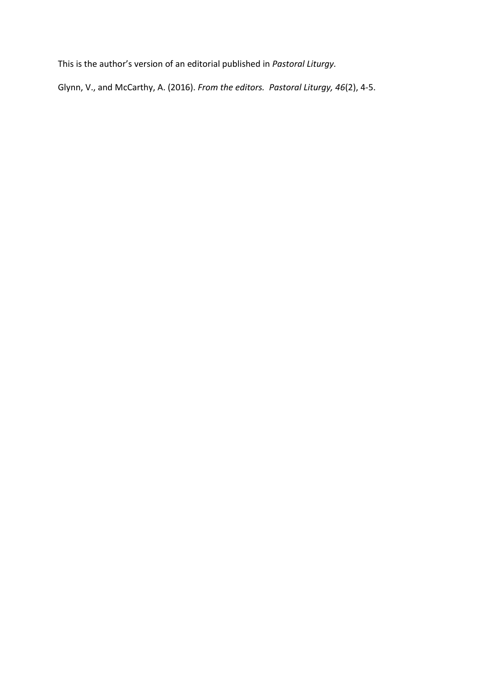This is the author's version of an editorial published in *Pastoral Liturgy.*

Glynn, V., and McCarthy, A. (2016). *From the editors. Pastoral Liturgy, 46*(2), 4-5.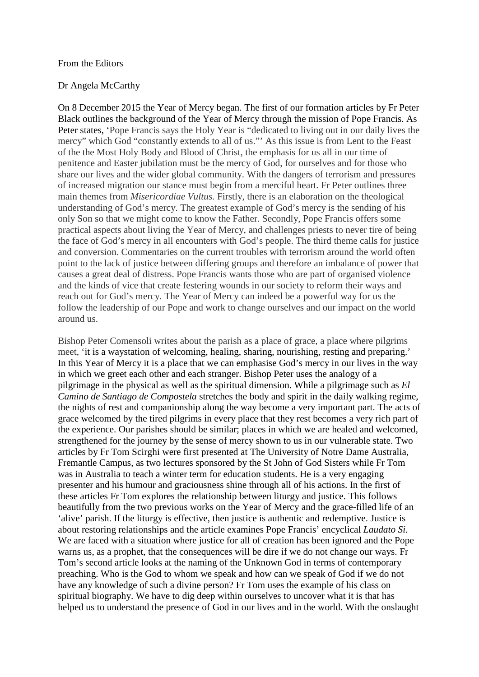#### From the Editors

## Dr Angela McCarthy

On 8 December 2015 the Year of Mercy began. The first of our formation articles by Fr Peter Black outlines the background of the Year of Mercy through the mission of Pope Francis. As Peter states, 'Pope Francis says the Holy Year is "dedicated to living out in our daily lives the mercy" which God "constantly extends to all of us."' As this issue is from Lent to the Feast of the the Most Holy Body and Blood of Christ, the emphasis for us all in our time of penitence and Easter jubilation must be the mercy of God, for ourselves and for those who share our lives and the wider global community. With the dangers of terrorism and pressures of increased migration our stance must begin from a merciful heart. Fr Peter outlines three main themes from *Misericordiae Vultus.* Firstly, there is an elaboration on the theological understanding of God's mercy. The greatest example of God's mercy is the sending of his only Son so that we might come to know the Father. Secondly, Pope Francis offers some practical aspects about living the Year of Mercy, and challenges priests to never tire of being the face of God's mercy in all encounters with God's people. The third theme calls for justice and conversion. Commentaries on the current troubles with terrorism around the world often point to the lack of justice between differing groups and therefore an imbalance of power that causes a great deal of distress. Pope Francis wants those who are part of organised violence and the kinds of vice that create festering wounds in our society to reform their ways and reach out for God's mercy. The Year of Mercy can indeed be a powerful way for us the follow the leadership of our Pope and work to change ourselves and our impact on the world around us.

Bishop Peter Comensoli writes about the parish as a place of grace, a place where pilgrims meet, 'it is a waystation of welcoming, healing, sharing, nourishing, resting and preparing.' In this Year of Mercy it is a place that we can emphasise God's mercy in our lives in the way in which we greet each other and each stranger. Bishop Peter uses the analogy of a pilgrimage in the physical as well as the spiritual dimension. While a pilgrimage such as *El Camino de Santiago de Compostela* stretches the body and spirit in the daily walking regime, the nights of rest and companionship along the way become a very important part. The acts of grace welcomed by the tired pilgrims in every place that they rest becomes a very rich part of the experience. Our parishes should be similar; places in which we are healed and welcomed, strengthened for the journey by the sense of mercy shown to us in our vulnerable state. Two articles by Fr Tom Scirghi were first presented at The University of Notre Dame Australia, Fremantle Campus, as two lectures sponsored by the St John of God Sisters while Fr Tom was in Australia to teach a winter term for education students. He is a very engaging presenter and his humour and graciousness shine through all of his actions. In the first of these articles Fr Tom explores the relationship between liturgy and justice. This follows beautifully from the two previous works on the Year of Mercy and the grace-filled life of an 'alive' parish. If the liturgy is effective, then justice is authentic and redemptive. Justice is about restoring relationships and the article examines Pope Francis' encyclical *Laudato Si.*  We are faced with a situation where justice for all of creation has been ignored and the Pope warns us, as a prophet, that the consequences will be dire if we do not change our ways. Fr Tom's second article looks at the naming of the Unknown God in terms of contemporary preaching. Who is the God to whom we speak and how can we speak of God if we do not have any knowledge of such a divine person? Fr Tom uses the example of his class on spiritual biography. We have to dig deep within ourselves to uncover what it is that has helped us to understand the presence of God in our lives and in the world. With the onslaught